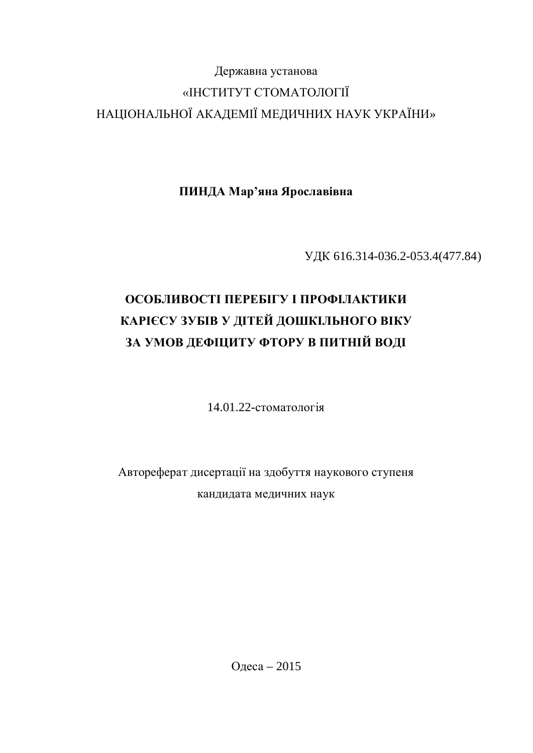# Державна установа «ІНСТИТУТ СТОМАТОЛОГІЇ НАЦІОНАЛЬНОЇ АКАДЕМІЇ МЕДИЧНИХ НАУК УКРАЇНИ»

ПИНДА Мар'яна Ярославівна

ɍȾɄ 616.314-036.2-053.4(477.84)

# **ОСОБЛИВОСТІ ПЕРЕБІГУ І ПРОФІЛАКТИКИ** КАРІЄСУ ЗУБІВ У ДІТЕЙ ДОШКІЛЬНОГО ВІКУ ЗА УМОВ ДЕФІЦИТУ ФТОРУ В ПИТНІЙ ВОДІ

 $14.01.22$ -стоматопогія

Автореферат дисертації на здобуття наукового ступеня кандидата медичних наук

Одеса – 2015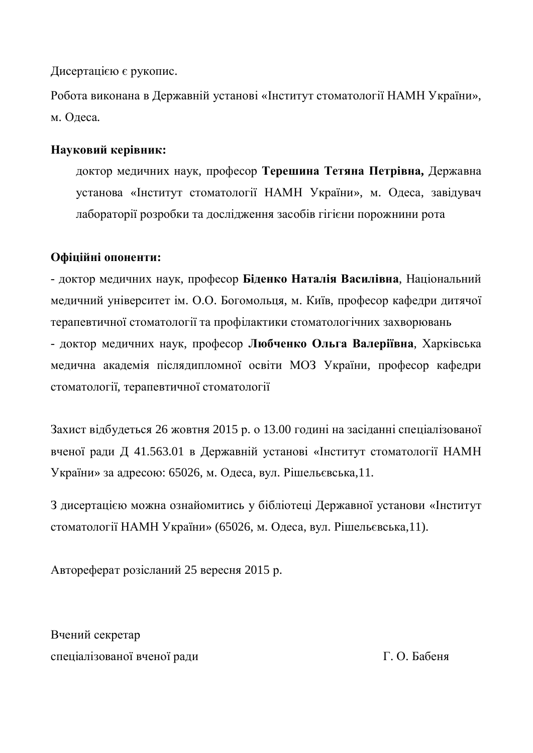Дисертацією є рукопис.

Робота виконана в Державній установі «Інститут стоматології НАМН України», м. Олеса.

### Науковий керівник:

доктор медичних наук, професор Терешина Тетяна Петрівна, Державна установа «Інститут стоматології НАМН України», м. Одеса, завідувач лабораторії розробки та дослідження засобів гігієни порожнини рота

### Офіційні опоненти:

- доктор медичних наук, професор Біденко Наталія Василівна, Національний медичний університет ім. О.О. Богомольця, м. Київ, професор кафедри дитячої терапевтичної стоматології та профілактики стоматологічних захворювань

- доктор медичних наук, професор Любченко Ольга Валеріївна, Харківська медична академія післядипломної освіти МОЗ України, професор кафедри стоматології, терапевтичної стоматології

Захист відбудеться 26 жовтня 2015 р. о 13.00 годині на засіданні спеціалізованої вченої ради Д 41.563.01 в Державній установі «Інститут стоматології НАМН України» за адресою: 65026, м. Одеса, вул. Рішельєвська,11.

З дисертацією можна ознайомитись у бібліотеці Державної установи «Інститут стоматології НАМН України» (65026, м. Одеса, вул. Рішельєвська,11).

Автореферат розісланий 25 вересня 2015 р.

Вчений секретар спеціалізованої вченої ради П. О. Бабеня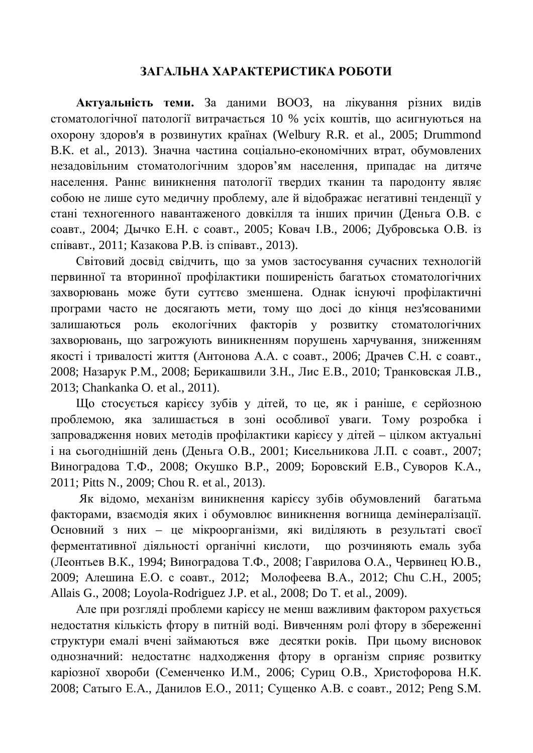### ЗАГАЛЬНА ХАРАКТЕРИСТИКА РОБОТИ

Актуальність теми. За даними ВООЗ, на лікування різних видів стоматологічної патології витрачається 10 % усіх коштів, що асигнуються на охорону здоров'я в розвинутих країнах (Welbury R.R. et al., 2005; Drummond В.К. et al., 2013). Значна частина соціально-економічних втрат, обумовлених незадовільним стоматологічним здоров'ям населення, припадає на дитяче населення. Раннє виникнення патології твердих тканин та пародонту являє собою не лише суто медичну проблему, але й відображає негативні тенденції у стані техногенного навантаженого довкілля та інших причин (Деньга О.В. с соавт., 2004; Дычко Е.Н. с соавт., 2005; Ковач І.В., 2006; Дубровська О.В. із співавт., 2011; Казакова Р.В. із співавт., 2013).

Світовий досвід свідчить, що за умов застосування сучасних технологій первинної та вторинної профілактики поширеність багатьох стоматологічних захворювань може бути суттєво зменшена. Однак існуючі профілактичні програми часто не досягають мети, тому що досі до кінця нез'ясованими залишаються роль екологічних факторів у розвитку стоматологічних захворювань, що загрожують виникненням порушень харчування, зниженням якості і тривалості життя (Антонова А.А. с соавт., 2006; Драчев С.Н. с соавт., 2008; Назарук Р.М., 2008; Берикашвили З.Н., Лис Е.В., 2010; Транковская Л.В., 2013; Chankanka O. et al., 2011).

Що стосується карієсу зубів у дітей, то це, як і раніше, є серйозною проблемою, яка залишається в зоні особливої уваги. Тому розробка і запровадження нових методів профілактики карієсу у дітей – цілком актуальні і на сьогоднішній день (Деньга О.В., 2001; Кисельникова Л.П. с соавт., 2007; Виноградова Т.Ф., 2008; Окушко В.Р., 2009; Боровский Е.В., Суворов К.А., 2011; Pitts N., 2009; Chou R. et al., 2013).

Як відомо, механізм виникнення карієсу зубів обумовлений багатьма факторами, взаємодія яких і обумовлює виникнення вогнища демінералізації. Основний з них – це мікроорганізми, які виділяють в результаті своєї ферментативної діяльності органічні кислоти, що розчиняють емаль зуба (Леонтьев В.К., 1994; Виноградова Т.Ф., 2008; Гаврилова О.А., Червинец Ю.В., 2009; Алешина Е.О. с соавт., 2012; Молофеева В.А., 2012; Сһи С.Н., 2005; Allais G., 2008; Loyola-Rodriguez J.P. et al., 2008; Do T. et al., 2009).

Але при розгляді проблеми карієсу не менш важливим фактором рахується недостатня кількість фтору в питній воді. Вивченням ролі фтору в збереженні структури емалі вчені займаються вже десятки років. При цьому висновок однозначний: недостатнє надходження фтору в організм сприяє розвитку каріозної хвороби (Семенченко И.М., 2006; Суриц О.В., Христофорова Н.К. 2008; Сатыго Е.А., Данилов Е.О., 2011; Сущенко А.В. с соавт., 2012; Peng S.M.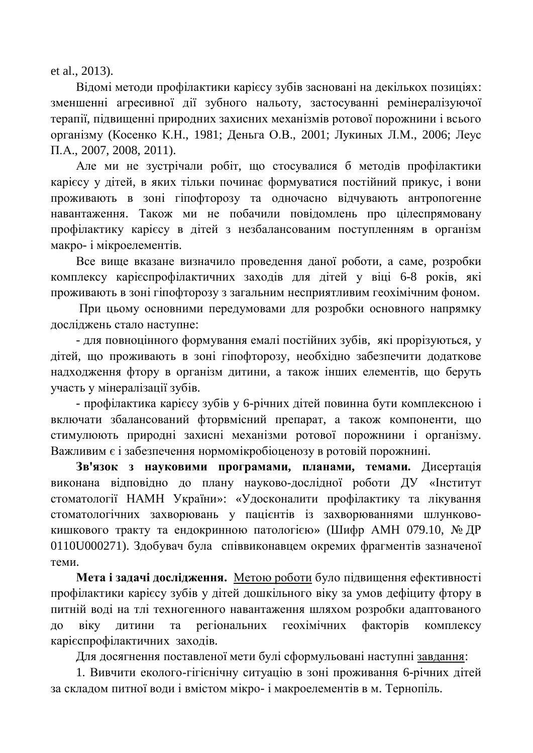et al., 2013).

Відомі методи профілактики карієсу зубів засновані на декількох позиціях: зменшенні агресивної дії зубного нальоту, застосуванні ремінералізуючої терапії, підвищенні природних захисних механізмів ротової порожнини і всього організму (Косенко К.Н., 1981; Деньга О.В., 2001; Лукиных Л.М., 2006; Леус П.А., 2007, 2008, 2011).

Але ми не зустрічали робіт, що стосувалися б методів профілактики карієсу у літей, в яких тільки починає формуватися постійний прикус, і вони проживають в зоні гіпофторозу та одночасно відчувають антропогенне навантаження. Також ми не побачили повідомлень про цілеспрямовану профілактику карієсу в дітей з незбалансованим поступленням в організм макро- *і* мікроелементів.

Все вище вказане визначило проведення даної роботи, а саме, розробки комплексу карієспрофілактичних заходів для дітей у віці 6-8 років, які проживають в зоні гіпофторозу з загальним несприятливим геохімічним фоном.

При цьому основними передумовами для розробки основного напрямку досліджень стало наступне:

- для повноцінного формування емалі постійних зубів, які прорізуються, у дітей, що проживають в зоні гіпофторозу, необхідно забезпечити додаткове надходження фтору в організм дитини, а також інших елементів, що беруть участь у мінералізації зубів.

- профілактика карієсу зубів у 6-річних дітей повинна бути комплексною і включати збалансований фторвмісний препарат, а також компоненти, що стимулюють природні захисні механізми ротової порожнини і організму. Важливим є і забезпечення нормомікробіоценозу в ротовій порожнині.

Зв'язок з науковими програмами, планами, темами. Дисертація виконана відповідно до плану науково-дослідної роботи ДУ «Інститут стоматології НАМН України»: «Удосконалити профілактику та лікування стоматологічних захворювань у пацієнтів із захворюваннями шлунковокишкового тракту та ендокринною патологією» (Шифр АМН 079.10, № ДР 0110U000271). Здобувач була співвиконавцем окремих фрагментів зазначеної теми.

**Мета і задачі дослідження.** Метою роботи було підвищення ефективності профілактики карієсу зубів у дітей дошкільного віку за умов дефіциту фтору в питній воді на тлі техногенного навантаження шляхом розробки адаптованого до віку дитини та регіональних геохімічних факторів комплексу каріє спрофілактичних заходів.

Для досягнення поставленої мети булі сформульовані наступні завдання:

1. Вивчити еколого-гігієнічну ситуацію в зоні проживання 6-річних дітей за складом питної води і вмістом мікро- і макроелементів в м. Тернопіль.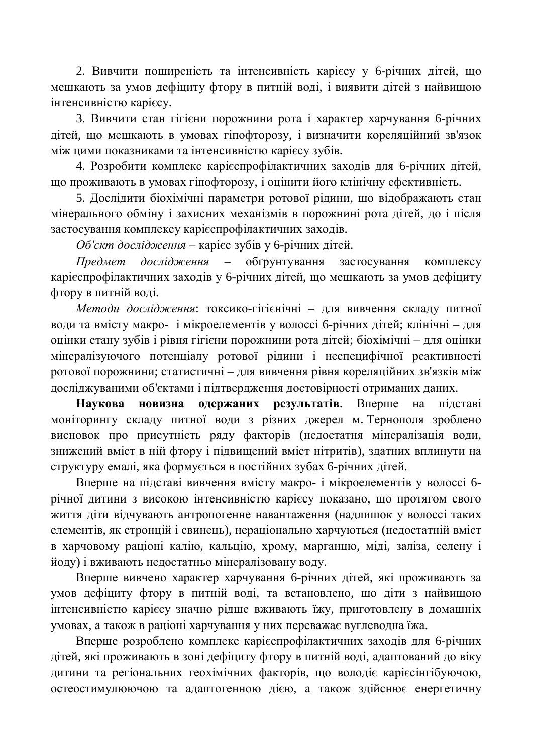2. Вивчити поширеність та інтенсивність карієсу у 6-річних дітей, що мешкають за умов дефіциту фтору в питній воді, і виявити дітей з найвищою iнтенсивнiстю кapiecy.

3. Вивчити стан гігієни порожнини рота і характер харчування 6-річних дітей, що мешкають в умовах гіпофторозу, і визначити кореляційний зв'язок між цими показниками та інтенсивністю карієсу зубів.

4. Розробити комплекс карієспрофілактичних заходів для 6-річних дітей, що проживають в умовах гіпофторозу, і оцінити його клінічну ефективність.

5. Дослідити біохімічні параметри ротової рідини, що відображають стан мінерального обміну і захисних механізмів в порожнині рота дітей, до і після застосування комплексу карієспрофілактичних заходів.

Об'єкт дослідження – карієс зубів у 6-річних дітей.

*Предмет дослідження* – обґрунтування застосування комплексу карієспрофілактичних заходів у 6-річних дітей, що мешкають за умов дефіциту фтору в питній воді.

Методи дослідження: токсико-гігієнічні – для вивчення складу питної води та вмісту макро- і мікроелементів у волоссі 6-річних дітей; клінічні – для **оцінки стану зубів і рівня гігієни порожнини рота дітей; біохімічні – для оцінки** мінералізуючого потенціалу ротової рідини і неспецифічної реактивності ротової порожнини; статистичні – для вивчення рівня кореляційних зв'язків між досліджуваними об'єктами і підтвердження достовірності отриманих даних.

Наукова новизна одержаних результатів. Вперше на підставі моніторингу складу питної води з різних джерел м. Тернополя зроблено висновок про присутність ряду факторів (недостатня мінералізація води, знижений вміст в ній фтору і підвищений вміст нітритів), здатних вплинути на структуру емалі, яка формується в постійних зубах 6-річних дітей.

Вперше на підставі вивчення вмісту макро- і мікроелементів у волоссі 6річної дитини з високою інтенсивністю карієсу показано, що протягом свого життя діти відчувають антропогенне навантаження (надлишок у волоссі таких елементів, як стронцій і свинець), нераціонально харчуються (недостатній вміст в харчовому раціоні калію, кальцію, хрому, марганцю, міді, заліза, селену і йоду) і вживають недостатньо мінералізовану воду.

Вперше вивчено характер харчування 6-річних дітей, які проживають за умов дефіциту фтору в питній воді, та встановлено, що діти з найвищою інтенсивністю карієсу значно рідше вживають їжу, приготовлену в домашніх умовах, а також в раціоні харчування у них переважає вуглеводна їжа.

Вперше розроблено комплекс карієспрофілактичних заходів для 6-річних дітей, які проживають в зоні дефіциту фтору в питній воді, адаптований до віку дитини та регіональних геохімічних факторів, що володіє карієсінгібуючою, остеостимулюючою та адаптогенною дією, а також здійснює енергетичну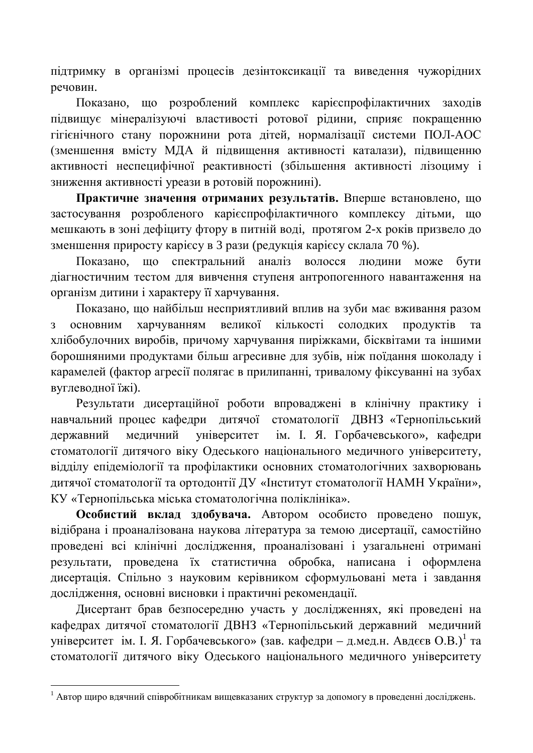підтримку в організмі процесів дезінтоксикації та виведення чужорідних речовин.

Показано, що розроблений комплекс карієспрофілактичних заходів підвищує мінералізуючі властивості ротової рідини, сприяє покращенню гігієнічного стану порожнини рота дітей, нормалізації системи ПОЛ-АОС (зменшення вмісту МДА й підвищення активності каталази), підвищенню активності неспецифічної реактивності (збільшення активності лізоциму і зниження активності уреази в ротовій порожнині).

Практичне значення отриманих результатів. Вперше встановлено, що застосування розробленого карієспрофілактичного комплексу дітьми, що мешкають в зоні дефіциту фтору в питній воді, протягом 2-х років призвело до зменшення приросту карієсу в 3 рази (редукція карієсу склала 70 %).

Показано, що спектральний аналіз волосся людини може бути діагностичним тестом для вивчення ступеня антропогенного навантаження на організм дитини і характеру її харчування.

Показано, що найбільш несприятливий вплив на зуби має вживання разом з основним харчуванням великої кількості солодких продуктів та хлібобулочних виробів, причому харчування пиріжками, бісквітами та іншими борошняними продуктами більш агресивне для зубів, ніж поїдання шоколаду і карамелей (фактор агресії полягає в прилипанні, тривалому фіксуванні на зубах вуглеводної їжі).

Результати дисертаційної роботи впроваджені в клінічну практику і навчальний процес кафедри дитячої стоматології ДВНЗ «Тернопільський державний медичний університет ім. І. Я. Горбачевського», кафедри стоматології дитячого віку Одеського національного медичного університету, відділу епідеміології та профілактики основних стоматологічних захворювань дитячої стоматології та ортодонтії ДУ «Інститут стоматології НАМН України», КУ «Тернопільська міська стоматологічна поліклініка».

Особистий вклад здобувача. Автором особисто проведено пошук, відібрана і проаналізована наукова література за темою дисертації, самостійно проведені всі клінічні дослідження, проаналізовані і узагальнені отримані результати, проведена їх статистична обробка, написана і оформлена дисертація. Спільно з науковим керівником сформульовані мета і завдання дослідження, основні висновки і практичні рекомендації.

Дисертант брав безпосередню участь у дослідженнях, які проведені на кафедрах дитячої стоматології ДВНЗ «Тернопільський державний медичний університет ім. І. Я. Горбачевського» (зав. кафедри – д.мед.н. Авдєєв О.В.)<sup>1</sup> та стоматології дитячого віку Одеського національного медичного університету

<sup>&</sup>lt;sup>1</sup> Автор щиро вдячний співробітникам вищевказаних структур за допомогу в проведенні досліджень.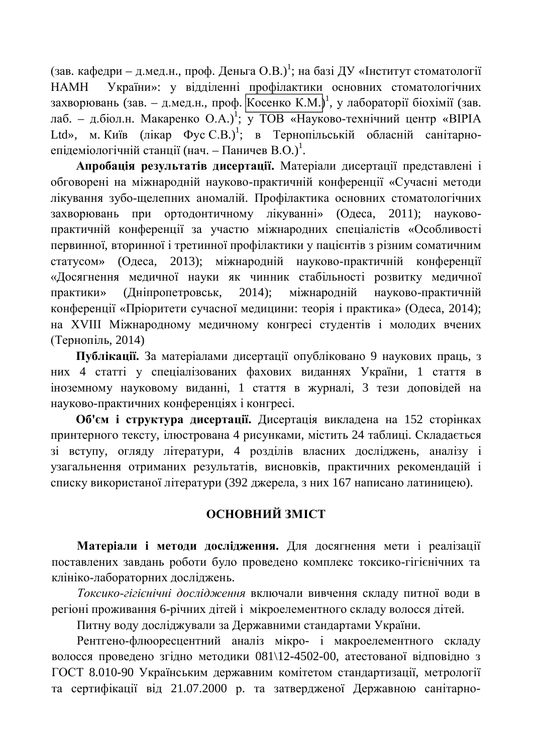(зав. кафедри – д.мед.н., проф. Деньга О.В.)<sup>1</sup>; на базі ДУ «Інститут стоматології НАМН України»: у відділенні профілактики основних стоматологічних захворювань (зав. – д.мед.н., проф. Kосенко К.М.)<sup>1</sup>, у лабораторії біохімії (зав. лаб. – д.біол.н. Макаренко О.А.)<sup>1</sup>; у ТОВ «Науково-технічний центр «ВІРІА Ltd», м. Київ (лікар Фус С.В.)<sup>1</sup>; в Тернопільській обласній санітарноепідеміологічній станції (нач. – Паничев В.О.)<sup>1</sup>.

Апробація результатів дисертації. Матеріали дисертації представлені і обговорені на міжнародній науково-практичній конференції «Сучасні методи лікування зубо-щелепних аномалій. Профілактика основних стоматологічних захворювань при ортодонтичному лікуванні» (Одеса, 2011); науковопрактичній конференції за участю міжнародних спеціалістів «Особливості первинної, вторинної і третинної профілактики у пацієнтів з різним соматичним статусом» (Одеса, 2013); міжнародній науково-практичній конференції «Досягнення медичної науки як чинник стабільності розвитку медичної практики» (Дніпропетровськ, 2014); міжнародній науково-практичній конференції «Пріоритети сучасної медицини: теорія і практика» (Одеса, 2014); на XVIII Міжнародному медичному конгресі студентів і молодих вчених  $(Tephoni<sub>II</sub>, 2014)$ 

Публікації. За матеріалами дисертації опубліковано 9 наукових праць, з них 4 статті у спеціалізованих фахових виданнях України, 1 стаття в іноземному науковому виданні, 1 стаття в журналі, 3 тези доповідей на науково-практичних конференціях і конгресі.

Об'єм і структура дисертації. Дисертація викладена на 152 сторінках принтерного тексту, ілюстрована 4 рисунками, містить 24 таблиці. Складається зі вступу, огляду літератури, 4 розділів власних досліджень, аналізу і узагальнення отриманих результатів, висновків, практичних рекомендацій і списку використаної літератури (392 джерела, з них 167 написано латиницею).

### **ОСНОВНИЙ ЗМІСТ**

Матеріали і методи дослідження. Для досягнення мети і реалізації поставлених завдань роботи було проведено комплекс токсико-гігієнічних та клініко-лабораторних досліджень.

Токсико-гігієнічні дослідження включали вивчення складу питної води в регіоні проживання 6-річних дітей і мікроелементного складу волосся дітей.

Питну воду досліджували за Державними стандартами України.

Рентгено-флюоресцентний аналіз мікро- і макроелементного складу волосся проведено згідно методики 081\12-4502-00, атестованої відповідно з ГОСТ 8.010-90 Українським державним комітетом стандартизації, метрології та сертифікації від 21.07.2000 р. та затвердженої Державною санітарно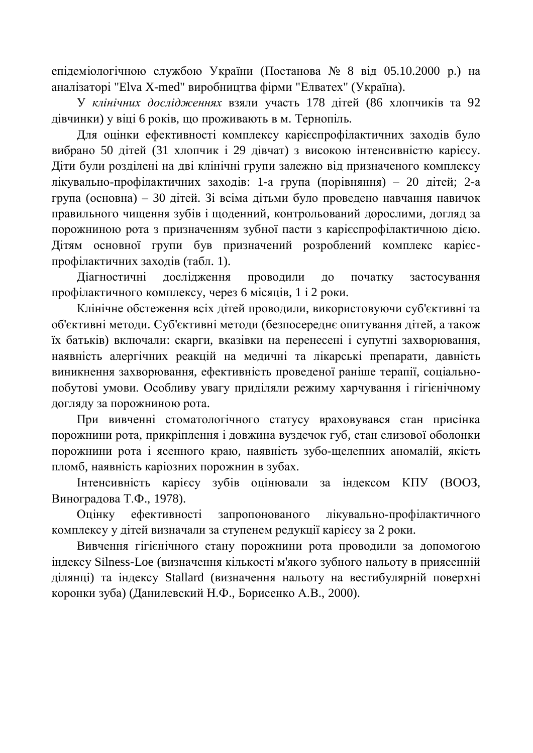епідеміологічною службою України (Постанова № 8 від 05.10.2000 р.) на аналізаторі "Elva X-med" виробництва фірми "Елватех" (Україна).

У клінічних дослідженнях взяли участь 178 літей (86 хлопчиків та 92 дівчинки) у віці 6 років, що проживають в м. Тернопіль.

Для оцінки ефективності комплексу карієспрофілактичних заходів було вибрано 50 дітей (31 хлопчик і 29 дівчат) з високою інтенсивністю карієсу. Діти були розділені на дві клінічні групи залежно від призначеного комплексу лікувально-профілактичних заходів: 1-а група (порівняння) – 20 літей: 2-а група (основна) – 30 дітей. Зі всіма дітьми було проведено навчання навичок правильного чищення зубів і щоденний, контрольований дорослими, догляд за порожниною рота з призначенням зубної пасти з карієспрофілактичною дією. Дітям основної групи був призначений розроблений комплекс карієспрофілактичних заходів (табл. 1).

Діагностичні дослідження проводили до початку застосування профілактичного комплексу, через 6 місяців, 1 і 2 роки.

Клінічне обстеження всіх дітей проводили, використовуючи суб'єктивні та об'єктивні методи. Суб'єктивні методи (безпосереднє опитування дітей, а також їх батьків) включали: скарги, вказівки на перенесені і супутні захворювання, наявність алергічних реакцій на медичні та лікарські препарати, давність виникнення захворювання, ефективність проведеної раніше терапії, соціальнопобутові умови. Особливу увагу приділяли режиму харчування і гігієнічному догляду за порожниною рота.

При вивченні стоматологічного статусу враховувався стан присінка порожнини рота, прикріплення і довжина вуздечок губ, стан слизової оболонки порожнини рота і ясенного краю, наявність зубо-щелепних аномалій, якість пломб, наявність каріозних порожнин в зубах.

Iнтенсивність карієсу зубів оцінювали за індексом КПУ (ВООЗ, Виноградова Т.Ф., 1978).

Оцінку ефективності запропонованого лікувально-профілактичного комплексу у дітей визначали за ступенем редукції карієсу за 2 роки.

Вивчення гігієнічного стану порожнини рота проводили за допомогою індексу Silness-Loe (визначення кількості м'якого зубного нальоту в приясенній ділянці) та індексу Stallard (визначення нальоту на вестибулярній поверхні коронки зуба) (Данилевский Н.Ф., Борисенко А.В., 2000).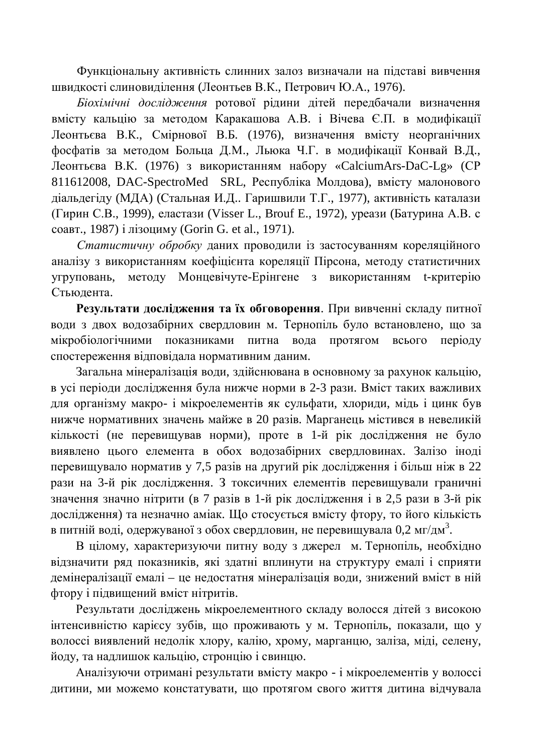Функціональну активність слинних залоз визначали на підставі вивчення швидкості слиновиділення (Леонтьев В.К., Петрович Ю.А., 1976).

*Біохімічні дослідження* ротової рідини дітей передбачали визначення вмісту кальцію за методом Каракашова А.В. і Вічева Є.П. в модифікації Леонтьєва В.К., Смірнової В.Б. (1976), визначення вмісту неорганічних фосфатів за методом Больца Д.М., Льюка Ч.Г. в модифікації Конвай В.Д., Леонтьєва В.К. (1976) з використанням набору «CalciumArs-DaC-Lg» (СР 811612008, DAC-SpectroMed SRL, Республіка Молдова), вмісту малонового діальдегіду (МДА) (Стальная И.Д.. Гаришвили Т.Г., 1977), активність каталази (Гирин С.В., 1999), еластази (Visser L., Brouf E., 1972), уреази (Батурина А.В. с соавт., 1987) і лізоциму (Gorin G. et al., 1971).

Статистичну обробку даних проводили *із застосуванням кореляційного* аналізу з використанням коефіцієнта кореляції Пірсона, методу статистичних угруповань, методу Монцевічуте-Ерінгене з використанням t-критерію Стьюдента.

Результати дослідження та їх обговорення. При вивченні складу питної води з двох водозабірних свердловин м. Тернопіль було встановлено, що за мікробіологічними показниками питна вола протягом всього періолу спостереження відповідала нормативним даним.

Загальна мінералізація води, здійснювана в основному за рахунок кальцію, в усі періоди дослідження була нижче норми в 2-3 рази. Вміст таких важливих для організму макро- і мікроелементів як сульфати, хлориди, мідь і цинк був нижче нормативних значень майже в 20 разів. Марганець містився в невеликій кількості (не перевищував норми), проте в 1-й рік дослідження не було виявлено цього елемента в обох водозабірних свердловинах. Залізо іноді перевищувало норматив у 7,5 разів на другий рік дослідження і більш ніж в 22 рази на 3-й рік дослідження. З токсичних елементів перевищували граничні значення значно нітрити (в 7 разів в 1-й рік дослідження і в 2,5 рази в 3-й рік дослідження) та незначно аміак. Що стосується вмісту фтору, то його кількість в питній воді, одержуваної з обох свердловин, не перевищувала 0,2 мг/дм $^3$ .

В цілому, характеризуючи питну воду з джерел м. Тернопіль, необхідно відзначити ряд показників, які здатні вплинути на структуру емалі і сприяти демінералізації емалі – це недостатня мінералізація води, знижений вміст в ній фтору і підвищений вміст нітритів.

Результати досліджень мікроелементного складу волосся дітей з високою інтенсивністю карієсу зубів, що проживають у м. Тернопіль, показали, що у волоссі виявлений недолік хлору, калію, хрому, марганцю, заліза, міді, селену, йоду, та надлишок кальцію, стронцію і свинцю.

Аналізуючи отримані результати вмісту макро - і мікроелементів у волоссі дитини, ми можемо констатувати, що протягом свого життя дитина відчувала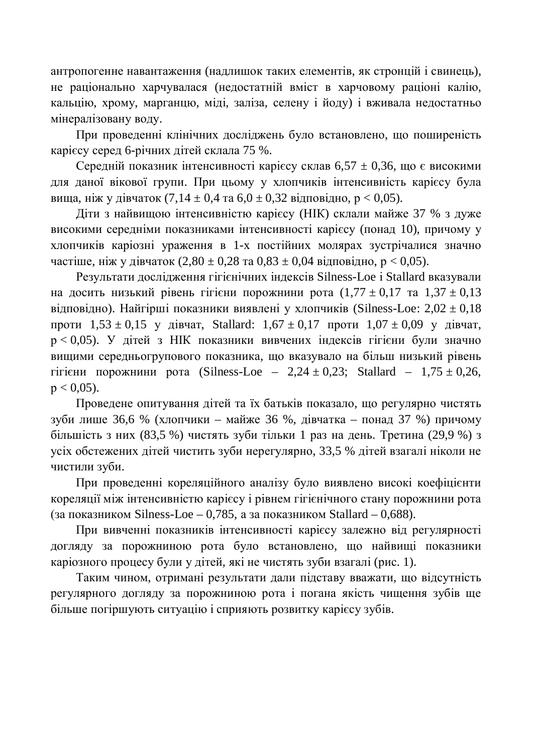антропогенне навантаження (надлишок таких елементів, як стронцій і свинець), не раціонально харчувалася (недостатній вміст в харчовому раціоні калію, кальцію, хрому, марганцю, міді, заліза, селену і йоду) і вживала недостатньо мінералізовану воду.

При проведенні клінічних досліджень було встановлено, що поширеність карієсу серед 6-річних дітей склала 75 %.

Середній показник інтенсивності карієсу склав 6,57  $\pm$  0,36, що є високими для даної вікової групи. При цьому у хлопчиків інтенсивність карієсу була вища, ніж у дівчаток (7,14 ± 0,4 та 6,0 ± 0,32 відповідно,  $p < 0.05$ ).

Діти з найвищою інтенсивністю карієсу (НІК) склали майже 37 % з дуже високими середніми показниками інтенсивності карієсу (понад 10), причому у хлопчиків каріозні ураження в 1-х постійних молярах зустрічалися значно частіше, ніж у лівчаток (2,80 ± 0,28 та 0,83 ± 0,04 вілповілно,  $p < 0.05$ ).

Результати дослідження гігієнічних індексів Silness-Loe і Stallard вказували на досить низький рівень гігієни порожнини рота  $(1,77 \pm 0,17$  та  $1,37 \pm 0,13$ відповідно). Найгірші показники виявлені у хлопчиків (Silness-Loe:  $2,02 \pm 0,18$ проти  $1,53 \pm 0,15$  у дівчат, Stallard:  $1,67 \pm 0,17$  проти  $1,07 \pm 0,09$  у дівчат,  $p < 0.05$ ). У літей з НІК показники вивчених індексів гігієни були значно вищими середньогрупового показника, що вказувало на більш низький рівень гігієни порожнини рота (Silness-Loe – 2,24  $\pm$  0,23; Stallard – 1,75  $\pm$  0,26,  $p < 0.05$ ).

Проведене опитування дітей та їх батьків показало, що регулярно чистять зуби лише 36,6 % (хлопчики – майже 36 %, дівчатка – понад 37 %) причому більшість з них (83,5 %) чистять зуби тільки 1 раз на день. Третина (29,9 %) з усіх обстежених дітей чистить зуби нерегулярно, 33,5 % дітей взагалі ніколи не чистили зуби.

При проведенні кореляційного аналізу було виявлено високі коефіцієнти кореляції між інтенсивністю карієсу і рівнем гігієнічного стану порожнини рота (за показником Silness-Loe – 0,785, а за показником Stallard – 0,688).

При вивченні показників інтенсивності карієсу залежно від регулярності догляду за порожниною рота було встановлено, що найвищі показники каріозного процесу були у дітей, які не чистять зуби взагалі (рис. 1).

Таким чином, отримані результати дали підставу вважати, що відсутність регулярного догляду за порожниною рота і погана якість чищення зубів ще більше погіршують ситуацію і сприяють розвитку карієсу зубів.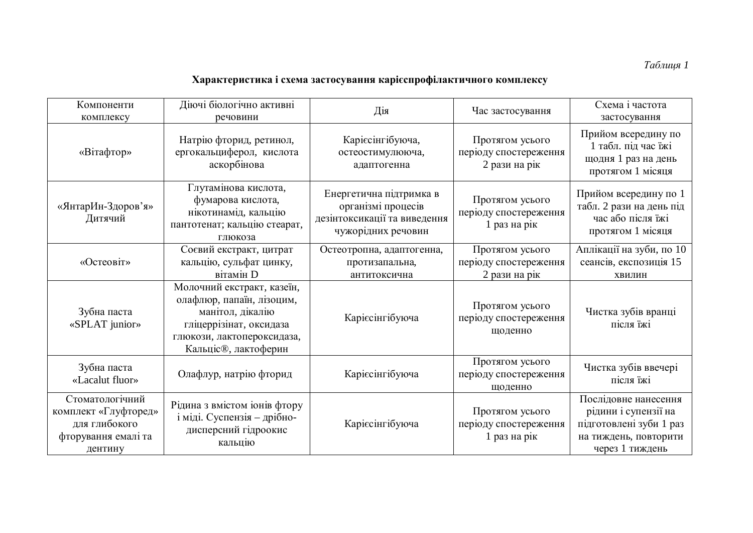## $Ta6$ лиця 1

## Характеристика i схема застосування карієспрофілактичного комплексу

| Компоненти<br>комплексу                                                                    | Діючі біологічно активні<br>речовини                                                                                                                         | Дія                                                                                                 | Час застосування                                          | Схема і частота<br>застосування                                                                                     |
|--------------------------------------------------------------------------------------------|--------------------------------------------------------------------------------------------------------------------------------------------------------------|-----------------------------------------------------------------------------------------------------|-----------------------------------------------------------|---------------------------------------------------------------------------------------------------------------------|
| «Вітафтор»                                                                                 | Натрію фторид, ретинол,<br>ергокальциферол, кислота<br>аскорбінова                                                                                           | Карієсінгібуюча,<br>остеостимулююча,<br>адаптогенна                                                 | Протягом усього<br>періоду спостереження<br>2 рази на рік | Прийом всередину по<br>1 табл. під час їжі<br>щодня 1 раз на день<br>протягом 1 місяця                              |
| «ЯнтарИн-Здоров'я»<br>Дитячий                                                              | Глутамінова кислота,<br>фумарова кислота,<br>нікотинамід, кальцію<br>пантотенат; кальцію стеарат,<br>глюкоза                                                 | Енергетична підтримка в<br>організмі процесів<br>дезінтоксикації та виведення<br>чужорідних речовин | Протягом усього<br>періоду спостереження<br>1 раз на рік  | Прийом всередину по 1<br>табл. 2 рази на день під<br>час або після їжі<br>протягом 1 місяця                         |
| «Остеовіт»                                                                                 | Соєвий екстракт, цитрат<br>кальцію, сульфат цинку,<br>вітамін D                                                                                              | Остеотропна, адаптогенна,<br>протизапальна,<br>антитоксична                                         | Протягом усього<br>періоду спостереження<br>2 рази на рік | Аплікації на зуби, по 10<br>сеансів, експозиція 15<br>ХВИЛИН                                                        |
| Зубна паста<br>«SPLAT junior»                                                              | Молочний екстракт, казеїн,<br>олафлюр, папаїн, лізоцим,<br>манітол, дікалію<br>гліцеррізінат, оксидаза<br>глюкози, лактопероксидаза,<br>Кальціс®, лактоферин | Карієсінгібуюча                                                                                     | Протягом усього<br>періоду спостереження<br>щоденно       | Чистка зубів вранці<br>після їжі                                                                                    |
| Зубна паста<br>«Lacalut fluor»                                                             | Олафлур, натрію фторид                                                                                                                                       | Карієсінгібуюча                                                                                     | Протягом усього<br>періоду спостереження<br>щоденно       | Чистка зубів ввечері<br>після їжі                                                                                   |
| Стоматологічний<br>комплект «Глуфторед»<br>для глибокого<br>фторування емалі та<br>дентину | Рідина з вмістом іонів фтору<br>і міді. Суспензія - дрібно-<br>дисперсний гідроокис<br>кальцію                                                               | Карієсінгібуюча                                                                                     | Протягом усього<br>періоду спостереження<br>1 раз на рік  | Послідовне нанесення<br>рідини і супензії на<br>підготовлені зуби 1 раз<br>на тиждень, повторити<br>через 1 тиждень |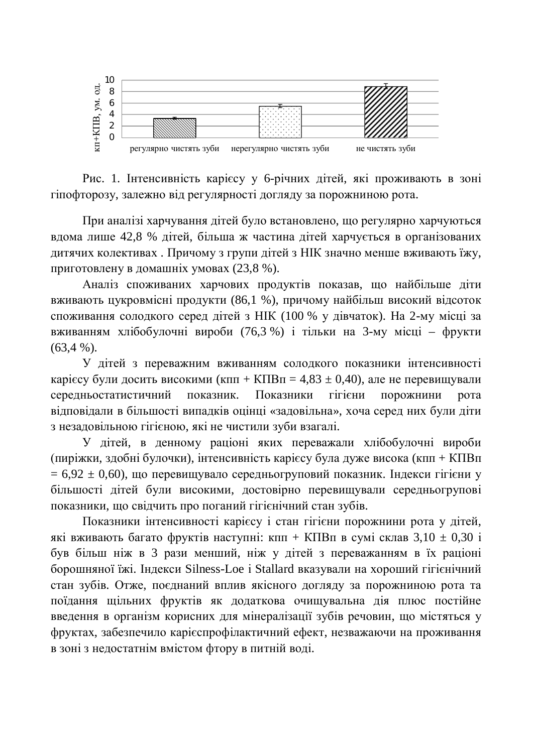

Рис. 1. Інтенсивність карієсу у 6-річних дітей, які проживають в зоні гіпофторозу, залежно від регулярності догляду за порожниною рота.

При аналізі харчування дітей було встановлено, що регулярно харчуються вдома лише 42,8 % дітей, більша ж частина дітей харчується в організованих дитячих колективах. Причому з групи дітей з НІК значно менше вживають їжу, приготовлену в домашніх умовах (23,8 %).

Аналіз споживаних харчових продуктів показав, що найбільше діти вживають цукровмісні продукти (86,1 %), причому найбільш високий відсоток споживання солодкого серед дітей з НІК (100 % у дівчаток). На 2-му місці за вживанням хлібобулочні вироби (76,3 %) і тільки на 3-му місці – фрукти  $(63.4 %).$ 

У дітей з переважним вживанням солодкого показники інтенсивності карієсу були досить високими (кпп + КПВп = 4,83  $\pm$  0,40), але не перевищували середньостатистичний показник. Показники гігієни порожнини рота відповідали в більшості випадків оцінці «задовільна», хоча серед них були діти з незадовільною гігієною, які не чистили зуби взагалі.

У дітей, в денному раціоні яких переважали хлібобулочні вироби (пиріжки, здобні булочки), інтенсивність карієсу була дуже висока (кпп + КПВп  $= 6.92 \pm 0.60$ ), що перевищувало середньогруповий показник. Індекси гігієни у більшості дітей були високими, достовірно перевищували середньогрупові показники, що свідчить про поганий гігієнічний стан зубів.

Показники інтенсивності карієсу і стан гігієни порожнини рота у дітей, які вживають багато фруктів наступні: кпп + КПВп в сумі склав  $3,10 \pm 0,30$  і був більш ніж в 3 рази менший, ніж у дітей з переважанням в їх раціоні борошняної їжі. Індекси Silness-Loe і Stallard вказували на хороший гігієнічний стан зубів. Отже, поєднаний вплив якісного догляду за порожниною рота та поїдання щільних фруктів як додаткова очищувальна дія плюс постійне введення в організм корисних для мінералізації зубів речовин, що містяться у фруктах, забезпечило карієспрофілактичний ефект, незважаючи на проживання в зоні з недостатнім вмістом фтору в питній воді.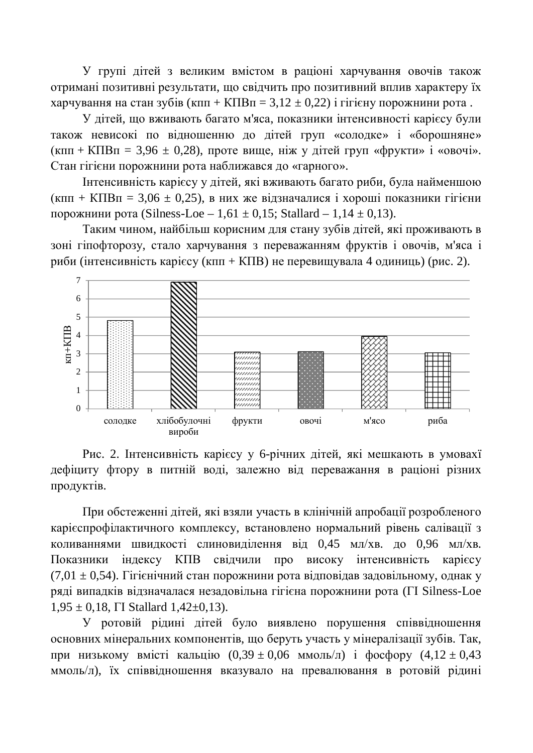У групі дітей з великим вмістом в раціоні харчування овочів також отримані позитивні результати, що свідчить про позитивний вплив характеру їх харчування на стан зубів (кпп + КПВп = 3,12  $\pm$  0,22) і гігієну порожнини рота.

У дітей, що вживають багато м'яса, показники інтенсивності карієсу були також невисокі по відношенню до дітей груп «солодке» і «борошняне»  $(\kappa \pi H + K \Pi B \pi = 3.96 \pm 0.28)$ , проте вище, ніж у дітей груп «фрукти» і «овочі». Стан гігієни порожнини рота наближався до «гарного».

Iнтенсивність карієсу у літей, які вживають багато риби, була найменшою  $(K\pi\pi + K\pi) = 3.06 \pm 0.25$ , в них же відзначалися і хороші показники гігієни порожнини рота (Silness-Loe – 1,61  $\pm$  0,15; Stallard – 1,14  $\pm$  0,13).

Таким чином, найбільш корисним для стану зубів дітей, які проживають в зоні гіпофторозу, стало харчування з переважанням фруктів і овочів, м'яса і риби (інтенсивність карієсу (кпп + КПВ) не перевищувала 4 одиниць) (рис. 2).



Рис. 2. Інтенсивність карієсу у 6-річних дітей, які мешкають в умовахї дефіциту фтору в питній воді, залежно від переважання в раціоні різних продуктів.

При обстеженні дітей, які взяли участь в клінічній апробації розробленого карієспрофілактичного комплексу, встановлено нормальний рівень салівації з коливаннями швидкості слиновиділення від 0,45 мл/хв. до 0,96 мл/хв. Показники індексу КПВ свідчили про високу інтенсивність карієсу (7,01  $\pm$  0.54). Гігієнічний стан порожнини рота відповідав задовільному, однак у ряді випадків відзначалася незадовільна гігієна порожнини рота (II Silness-Loe  $1,95 \pm 0,18$ ,  $\Gamma$ I Stallard  $1,42\pm 0,13$ ).

У ротовій рідині дітей було виявлено порушення співвідношення основних мінеральних компонентів, що беруть участь у мінералізації зубів. Так, при низькому вмісті кальцію  $(0,39 \pm 0,06 \text{ MMOJ} \cdot \text{m})$  і фосфору  $(4,12 \pm 0,43 \text{ m})$ ммоль/л), їх співвідношення вказувало на превалювання в ротовій рідині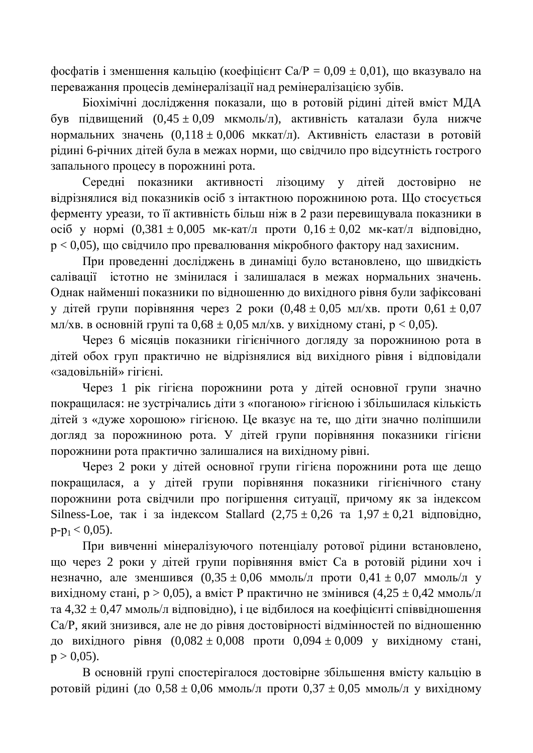фосфатів і зменшення кальцію (коефіцієнт Ca/P = 0,09  $\pm$  0,01), що вказувало на переважання процесів демінералізації над ремінералізацією зубів.

Біохімічні дослідження показали, що в ротовій рідині дітей вміст МДА був підвищений  $(0.45 \pm 0.09 \text{ MKMOL/n})$ , активність каталази була нижче нормальних значень  $(0,118 \pm 0,006 \text{ MKkar} / \text{J})$ . Активність еластази в ротовій рідині 6-річних дітей була в межах норми, що свідчило про відсутність гострого запального процесу в порожнині рота.

Середні показники активності лізоциму у дітей достовірно не відрізнялися від показників осіб з інтактною порожниною рота. Що стосується ферменту уреази, то її активність більш ніж в 2 рази перевищувала показники в  $\overline{16}$  γ нормі  $(0,381 \pm 0,005$  мк-кат/л проти  $0,16 \pm 0,02$  мк-кат/л відповідно,  $p < 0.05$ ), що свідчило про превалювання мікробного фактору над захисним.

При проведенні досліджень в динаміці було встановлено, що швидкість салівації істотно не змінилася і залишалася в межах нормальних значень. Однак найменші показники по відношенню до вихідного рівня були зафіксовані у дітей групи порівняння через 2 роки  $(0.48 \pm 0.05 \text{ MHz/KB})$ . проти  $0.61 \pm 0.07$ мл/хв. в основній групі та  $0.68 \pm 0.05$  мл/хв. у вихідному стані,  $p < 0.05$ ).

Через 6 місяців показники гігієнічного догляду за порожниною рота в дітей обох груп практично не відрізнялися від вихідного рівня і відповідали «заловільній» гігієні.

Через 1 рік гігієна порожнини рота у дітей основної групи значно покращилася: не зустрічались діти з «поганою» гігієною і збільшилася кількість дітей з «дуже хорошою» гігієною. Це вказує на те, що діти значно поліпшили догляд за порожниною рота. У дітей групи порівняння показники гігієни порожнини рота практично залишалися на вихідному рівні.

Через 2 роки у дітей основної групи гігієна порожнини рота ще дещо покращилася, а у дітей групи порівняння показники гігієнічного стану порожнини рота свідчили про погіршення ситуації, причому як за індексом Silness-Loe, так і за індексом Stallard  $(2.75 \pm 0.26$  та  $1.97 \pm 0.21$  відповідно,  $p-p_1 < 0.05$ ).

При вивченні мінералізуючого потенціалу ротової рідини встановлено, що через 2 роки у дітей групи порівняння вміст Са в ротовій рідини хоч і незначно, але зменшився  $(0,35 \pm 0,06 \text{ MMOJH})$ л проти  $0,41 \pm 0,07 \text{ MMOJH}$  у вихідному стані,  $p > 0.05$ ), а вміст Р практично не змінився  $(4.25 \pm 0.42 \text{ mm})$ и та 4,32  $\pm$  0,47 ммоль/л відповідно), і це відбилося на коефіцієнті співвідношення Са/Р, який знизився, але не до рівня достовірності відмінностей по відношенню до вихідного рівня  $(0.082 \pm 0.008$  проти  $0.094 \pm 0.009$  у вихідному стані,  $p > 0,05$ ).

В основній групі спостерігалося достовірне збільшення вмісту кальцію в ротовій рідині (до  $0.58 \pm 0.06$  ммоль/л проти  $0.37 \pm 0.05$  ммоль/л у вихідному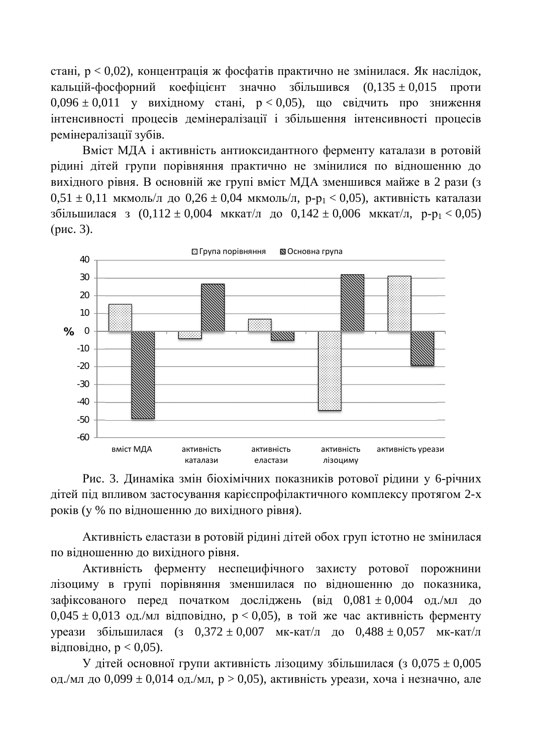стані,  $p < 0.02$ ), концентрація ж фосфатів практично не змінилася. Як наслідок, кальцій-фосфорний коефіцієнт значно збільшився  $(0,135 \pm 0,015$  проти  $0.096 \pm 0.011$  y вихідному стані,  $p < 0.05$ ), що свідчить про зниження інтенсивності процесів демінералізації і збільшення інтенсивності процесів ремінералізації зубів.

Вміст МДА і активність антиоксидантного ферменту каталази в ротовій рідині дітей групи порівняння практично не змінилися по відношенню до вихідного рівня. В основній же групі вміст МДА зменшився майже в 2 рази (з  $0.51 \pm 0.11$  мкмоль/л до  $0.26 \pm 0.04$  мкмоль/л, p-p<sub>1</sub> < 0.05), активність каталази збільшилася з  $(0,112 \pm 0,004$  мккат/л до  $0,142 \pm 0,006$  мккат/л,  $p-p_1 < 0,05$ )  $(pnc. 3)$ .





Активність еластази в ротовій рідині дітей обох груп істотно не змінилася по відношенню до вихідного рівня.

Активність ферменту неспецифічного захисту ротової порожнини лізоциму в групі порівняння зменшилася по відношенню до показника, зафіксованого перед початком досліджень (від  $0.081 \pm 0.004$  од./мл до  $0.045 \pm 0.013$  og./ $\text{MJI}$  відповідно,  $p < 0.05$ ), в той же час активність ферменту vреази збільшилася (з  $0,372 \pm 0,007$  мк-кат/л до  $0,488 \pm 0,057$  мк-кат/л відповідно,  $p < 0.05$ ).

У дітей основної групи активність лізоциму збільшилася (з 0,075  $\pm$  0,005 од./мл до 0,099  $\pm$  0,014 од./мл, р > 0,05), активність уреази, хоча і незначно, але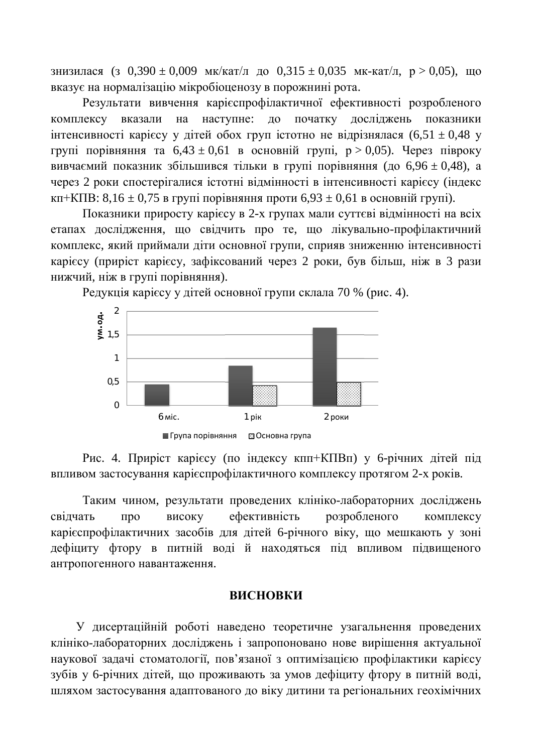знизилася (з 0,390  $\pm$  0,009 мк/кат/л до 0,315  $\pm$  0,035 мк-кат/л, p > 0,05), що вказує на нормалізацію мікробіоценозу в порожнині рота.

Результати вивчення карієспрофілактичної ефективності розробленого комплексу вказали на наступне: до початку досліджень показники інтенсивності карієсу у дітей обох груп істотно не відрізнялася  $(6,51 \pm 0,48 \text{ y})$ групі порівняння та  $6.43 \pm 0.61$  в основній групі,  $p > 0.05$ ). Через півроку вивчаємий показник збільшився тільки в групі порівняння (до  $6.96 \pm 0.48$ ), а через 2 роки спостерігалися істотні вілмінності в інтенсивності карієсу (індекс кп+КПВ: 8,16  $\pm$  0,75 в групі порівняння проти 6,93  $\pm$  0,61 в основній групі).

Показники приросту карієсу в 2-х групах мали суттєві відмінності на всіх етапах дослідження, що свідчить про те, що лікувально-профілактичний комплекс, який приймали діти основної групи, сприяв зниженню інтенсивності карієсу (приріст карієсу, зафіксований через 2 роки, був більш, ніж в 3 рази нижчий, ніж в групі порівняння).



Редукція карієсу у дітей основної групи склала 70 % (рис. 4).

Рис. 4. Приріст карієсу (по індексу кпп+КПВп) у 6-річних дітей під впливом застосування карієспрофілактичного комплексу протягом 2-х років.

Таким чином, результати проведених клініко-лабораторних досліджень свідчать про високу ефективність розробленого комплексу карієспрофілактичних засобів для дітей 6-річного віку, що мешкають у зоні дефіциту фтору в питній воді й находяться під впливом підвищеного антропогенного навантаження.

#### **RUCHORKU**

У дисертаційній роботі наведено теоретичне узагальнення проведених клініко-лабораторних досліджень і запропоновано нове вирішення актуальної наукової задачі стоматології, пов'язаної з оптимізацією профілактики карієсу зубів у 6-річних дітей, що проживають за умов дефіциту фтору в питній воді, шляхом застосування адаптованого до віку дитини та регіональних геохімічних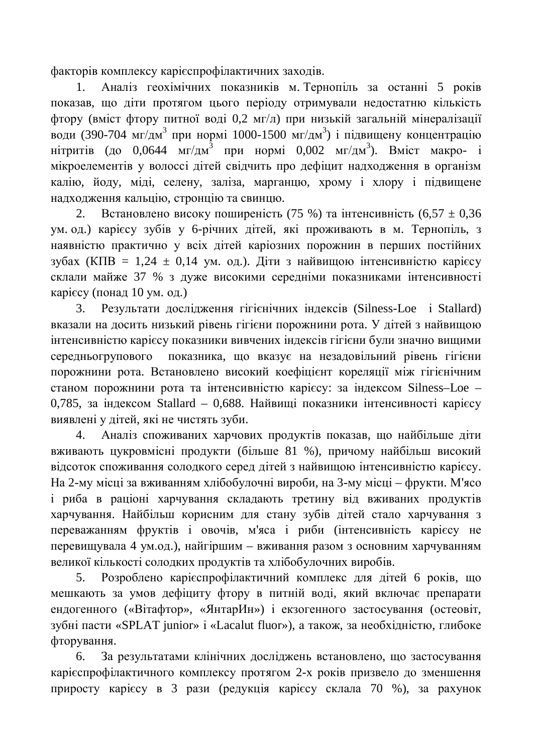факторів комплексу карієспрофілактичних заходів.

1. Аналіз геохімічних показників м. Тернопіль за останні 5 років показав, що діти протягом цього періоду отримували недостатню кількість фтору (вміст фтору питної воді 0,2 мг/л) при низькій загальній мінералізації води (390-704 мг/дм<sup>3</sup> при нормі 1000-1500 мг/дм<sup>3</sup>) і підвищену концентрацію нітритів (до 0,0644 мг/дм<sup>3</sup> при нормі 0,002 мг/дм<sup>3</sup>). Вміст макро- і мікроелементів у волоссі дітей свідчить про дефіцит надходження в організм калію, йоду, міді, селену, заліза, марганцю, хрому і хлору і підвищене надходження кальцію, стронцію та свинцю.

2. Встановлено високу поширеність (75 %) та інтенсивність (6,57  $\pm$  0,36 ум. од.) карієсу зубів у 6-річних дітей, які проживають в м. Тернопіль, з наявністю практично у всіх дітей каріозних порожнин в перших постійних зубах (КПВ = 1,24  $\pm$  0,14 ум. од.). Діти з найвищою інтенсивністю карієсу склали майже 37 % з дуже високими середніми показниками інтенсивності карієсу (понад 10 ум. од.)

3. Результати дослідження гігієнічних індексів (Silness-Loe i Stallard) вказали на досить низький рівень гігієни порожнини рота. У дітей з найвищою інтенсивністю карієсу показники вивчених індексів гігієни були значно вишими середньогрупового показника, що вказує на незадовільний рівень гігієни порожнини рота. Встановлено високий коефіцієнт кореляції між гігієнічним станом порожнини рота та інтенсивністю карієсу: за індексом Silness–Loe – 0,785, за індексом Stallard – 0,688. Найвищі показники інтенсивності карієсу виявлені у дітей, які не чистять зуби.

4. Аналіз споживаних харчових продуктів показав, що найбільше діти вживають цукровмісні продукти (більше 81 %), причому найбільш високий відсоток споживання солодкого серед дітей з найвищою інтенсивністю карієсу. На 2-му місці за вживанням хлібобулочні вироби, на 3-му місці – фрукти. М'ясо і риба в раціоні харчування складають третину від вживаних продуктів харчування. Найбільш корисним для стану зубів дітей стало харчування з переважанням фруктів і овочів, м'яса і риби (інтенсивність карієсу не перевищувала 4 ум.од.), найгіршим – вживання разом з основним харчуванням великої кількості солодких продуктів та хлібобулочних виробів.

5. Розроблено карієспрофілактичний комплекс для дітей 6 років, що мешкають за умов дефіциту фтору в питній воді, який включає препарати ендогенного («Вітафтор», «ЯнтарИн») і екзогенного застосування (остеовіт, зубні пасти «SPLAT junior» і «Lacalut fluor»), а також, за необхідністю, глибоке фторування.

6. За результатами клінічних досліджень встановлено, що застосування карієспрофілактичного комплексу протягом 2-х років призвело до зменшення приросту карієсу в 3 рази (редукція карієсу склала 70 %), за рахунок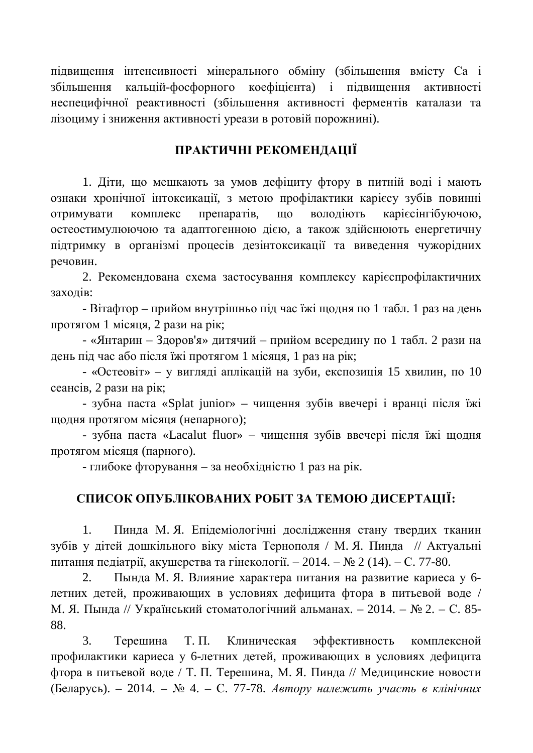підвищення інтенсивності мінерального обміну (збільшення вмісту Са і збільшення кальцій-фосфорного коефіцієнта) і підвищення активності неспецифічної реактивності (збільшення активності ферментів каталази та лізоциму і зниження активності уреази в ротовій порожнині).

### ПРАКТИЧНІ РЕКОМЕНДАЦІЇ

1. Діти, що мешкають за умов дефіциту фтору в питній воді і мають ознаки хронічної інтоксикації, з метою профілактики карієсу зубів повинні отримувати комплекс препаратів, що володіють карієсінгібуючою, остеостимулюючою та адаптогенною дією, а також здійснюють енергетичну підтримку в організмі процесів дезінтоксикації та виведення чужорідних речовин.

2. Рекомендована схема застосування комплексу карієспрофілактичних захолів:

- Вітафтор – прийом внутрішньо під час їжі щодня по 1 табл. 1 раз на день протягом 1 місяця, 2 рази на рік;

- «Янтарин – Здоров'я» дитячий – прийом всередину по 1 табл. 2 рази на день під час або після їжі протягом 1 місяця, 1 раз на рік;

- «Остеовіт» – у вигляді аплікацій на зуби, експозиція 15 хвилин, по 10 сеансів, 2 рази на рік;

- зубна паста «Splat junior» – чищення зубів ввечері і вранці після їжі щодня протягом місяця (непарного);

- зубна паста «Lacalut fluor» – чищення зубів ввечері після їжі щодня протягом місяця (парного).

 $-$  глибоке фторування – за необхідністю 1 раз на рік.

### СПИСОК ОПУБЛІКОВАНИХ РОБІТ ЗА ТЕМОЮ ДИСЕРТАЦІЇ:

1. Пинда М. Я. Епідеміологічні дослідження стану твердих тканин зубів у дітей дошкільного віку міста Тернополя / М. Я. Пинда // Актуальні питання педіатрії, акушерства та гінекології. – 2014. –  $\mathbb{N}$  2 (14). – С. 77-80.

2. Пында М. Я. Влияние характера питания на развитие кариеса у 6детних детей, проживающих в условиях дефицита фтора в питьевой воде / М. Я. Пында // Український стоматологічний альманах. – 2014. – № 2. – С. 85-88.

3. Терешина Т. П. Клиническая эффективность комплексной профилактики кариеса у 6-летних детей, проживающих в условиях дефицита фтора в питьевой воде / Т. П. Терешина, М. Я. Пинда // Медицинские новости (Беларусь). – 2014. – № 4. – С. 77-78. Автору належить участь в клінічних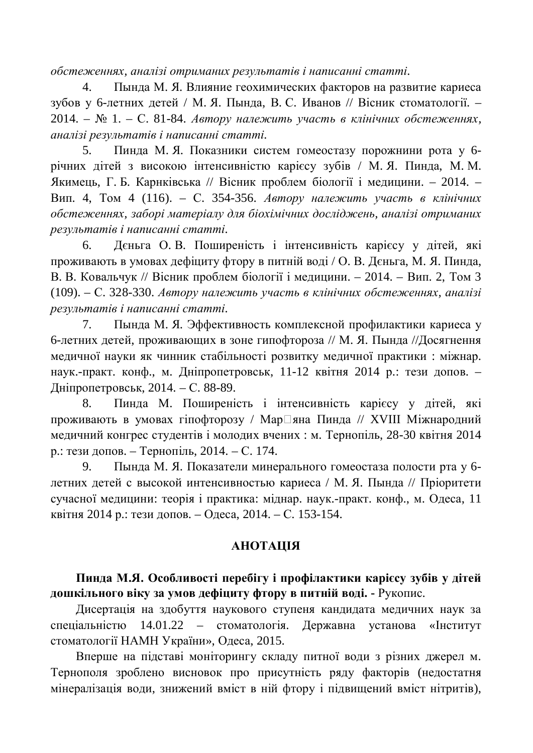$\delta$ бстеженнях, аналізі отриманих результатів і написанні статті.

4. Пында М. Я. Влияние геохимических факторов на развитие кариеса зубов у 6-летних детей / М. Я. Пында, В. С. Иванов // Вісник стоматології. – 2014. – № 1. – С. 81-84. *Автору належить участь в клінічних обстеженнях*, *ɚɧɚɥɿɡɿɪɟɡɭɥɶɬɚɬɿɜɿɧɚɩɢɫɚɧɧɿɫɬɚɬɬɿ.*

5. Пинда М. Я. Показники систем гомеостазу порожнини рота у 6річних дітей з високою інтенсивністю карієсу зубів / М. Я. Пинда, М. М.  $\pi$ кимець, Г. Б. Карнківська // Вісник проблем біології і мелицини. – 2014. – Вип. 4, Том 4 (116). – С. 354-356. *Автору належить участь в клінічних*  $\delta$ бстеженнях, заборі матеріалу для біохімічних досліджень, аналізі отриманих  $p$ езультатів і написанні статті.

6. Деньга О.В. Поширеність і інтенсивність карієсу у дітей, які проживають в умовах дефіциту фтору в питній воді / О. В. Дєньга, М. Я. Пинда, В. В. Ковальчук // Вісник проблем біології і медицини. – 2014. – Вип. 2, Том 3 (109). – С. 328-330. *Автору належить участь в клінічних обстеженнях, аналізі*  ${}$ *peзультатів і написанні статті.* 

7. Пында М. Я. Эффективность комплексной профилактики кариеса у 6-летних детей, проживающих в зоне гипофтороза // М. Я. Пында //Досягнення медичної науки як чинник стабільності розвитку медичної практики: міжнар. наук.-практ. конф., м. Дніпропетровськ, 11-12 квітня 2014 р.: тези допов. – Ⱦɧɿɩɪɨɩɟɬɪɨɜɫɶɤ, 2014. – ɋ. 88-89.

8. Пинда М. Поширеність і інтенсивність карієсу у дітей, які проживають в умовах гіпофторозу / Мар<sup>[</sup>яна Пинда // XVIII Міжнародний медичний конгрес студентів і молодих вчених : м. Тернопіль, 28-30 квітня 2014 р.: тези допов. – Тернопіль, 2014. – С. 174.

9. Пында М. Я. Показатели минерального гомеостаза полости рта у 6летних детей с высокой интенсивностью кариеса / М. Я. Пында // Пріоритети сучасної медицини: теорія і практика: міднар. наук.-практ. конф., м. Одеса, 11 квітня 2014 р.: тези допов. – Одеса, 2014. – С. 153-154.

### *МИЛАНОНА*

Пинда М.Я. Особливості перебігу і профілактики карієсу зубів у дітей дошкільного віку за умов дефіциту фтору в питній воді. - Рукопис.

Дисертація на здобуття наукового ступеня кандидата медичних наук за спеціальністю 14.01.22 – стоматологія. Державна установа «Інститут стоматології НАМН України», Одеса, 2015.

Вперше на підставі моніторингу складу питної води з різних джерел м. Тернополя зроблено висновок про присутність ряду факторів (недостатня мінералізація води, знижений вміст в ній фтору і підвищений вміст нітритів),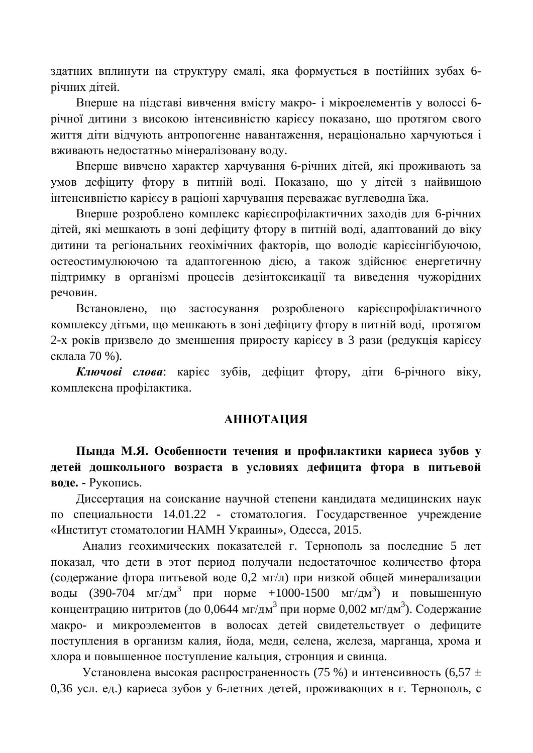здатних вплинути на структуру емалі, яка формується в постійних зубах 6річних дітей.

Вперше на підставі вивчення вмісту макро- і мікроелементів у волоссі 6річної дитини з високою інтенсивністю карієсу показано, що протягом свого життя діти відчують антропогенне навантаження, нераціонально харчуються і вживають недостатньо мінералізовану воду.

Вперше вивчено характер харчування 6-річних дітей, які проживають за умов дефіциту фтору в питній воді. Показано, що у дітей з найвищою інтенсивністю карієсу в раціоні харчування переважає вуглеводна їжа.

Вперше розроблено комплекс карієспрофілактичних заходів для 6-річних дітей, які мешкають в зоні дефіциту фтору в питній воді, адаптований до віку дитини та регіональних геохімічних факторів, що володіє карієсінгібуючою, остеостимулюючою та адаптогенною дією, а також здійснює енергетичну підтримку в організмі процесів дезінтоксикації та виведення чужорідних речовин.

Встановлено, що застосування розробленого карієспрофілактичного комплексу дітьми, що мешкають в зоні дефіциту фтору в питній воді, протягом 2-х років призвело до зменшення приросту карієсу в 3 рази (редукція карієсу склала 70 %).

**Ключові слова**: карієє зубів, дефіцит фтору, діти 6-річного віку, комплексна профілактика.

#### **АННОТАЦИЯ**

Пында М.Я. Особенности течения и профилактики кариеса зубов у детей дошкольного возраста в условиях дефицита фтора в питьевой **воде. -** Рукопись.

Диссертация на соискание научной степени кандидата медицинских наук по специальности 14.01.22 - стоматология. Государственное учреждение «Институт стоматологии НАМН Украины», Одесса, 2015.

Анализ геохимических показателей г. Тернополь за последние 5 лет показал, что дети в этот период получали недостаточное количество фтора (содержание фтора питьевой воде 0,2 мг/л) при низкой общей минерализации воды (390-704 мг/дм<sup>3</sup> при норме +1000-1500 мг/дм<sup>3</sup>) и повышенную концентрацию нитритов (до 0,0644 мг/дм $^3$  при норме 0,002 мг/дм $^3$ ). Содержание макро- и микроэлементов в волосах детей свидетельствует о дефиците поступления в организм калия, йода, меди, селена, железа, марганца, хрома и хлора и повышенное поступление кальция, стронция и свинца.

Установлена высокая распространенность (75 %) и интенсивность (6,57  $\pm$ 0,36 усл. ед.) кариеса зубов у 6-летних детей, проживающих в г. Тернополь, с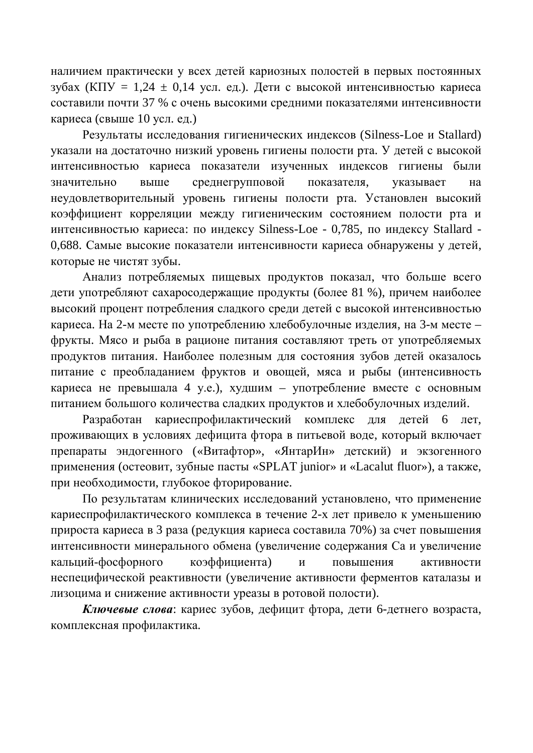наличием практически у всех детей кариозных полостей в первых постоянных зубах (КПУ = 1,24  $\pm$  0,14 үсл. ед.). Дети с высокой интенсивностью кариеса составили почти 37 % с очень высокими средними показателями интенсивности кариеса (свыше 10 усл. ед.)

Результаты исследования гигиенических индексов (Silness-Loe и Stallard) указали на достаточно низкий уровень гигиены полости рта. У детей с высокой интенсивностью кариеса показатели изученных индексов гигиены были значительно выше среднегрупповой показателя, указывает на неудовлетворительный уровень гигиены полости рта. Установлен высокий коэффициент корреляции между гигиеническим состоянием полости рта и интенсивностью кариеса: по индексу Silness-Loe - 0,785, по индексу Stallard -0,688. Самые высокие показатели интенсивности кариеса обнаружены у детей, которые не чистят зубы.

Анализ потребляемых пищевых продуктов показал, что больше всего дети употребляют сахаросодержащие продукты (более 81 %), причем наиболее высокий процент потребления сладкого среди детей с высокой интенсивностью кариеса. На 2-м месте по употреблению хлебобулочные изделия, на 3-м месте – фрукты. Мясо и рыба в рационе питания составляют треть от употребляемых продуктов питания. Наиболее полезным для состояния зубов детей оказалось питание с преобладанием фруктов и овощей, мяса и рыбы (интенсивность кариеса не превышала 4 у.е.), худшим – употребление вместе с основным питанием большого количества сладких продуктов и хлебобулочных изделий.

Разработан кариеспрофилактический комплекс для детей 6 лет, проживающих в условиях дефицита фтора в питьевой воде, который включает препараты эндогенного («Витафтор», «ЯнтарИн» детский) и экзогенного применения (остеовит, зубные пасты «SPLAT junior» и «Lacalut fluor»), а также, при необходимости, глубокое фторирование.

По результатам клинических исследований установлено, что применение кариеспрофилактического комплекса в течение 2-х лет привело к уменьшению прироста кариеса в 3 раза (редукция кариеса составила 70%) за счет повышения интенсивности минерального обмена (увеличение содержания Са и увеличение кальций-фосфорного коэффициента) и повышения активности неспецифической реактивности (увеличение активности ферментов каталазы и лизоцима и снижение активности уреазы в ротовой полости).

**Ключевые слова**: кариес зубов, дефицит фтора, дети 6-детнего возраста, комплексная профилактика.